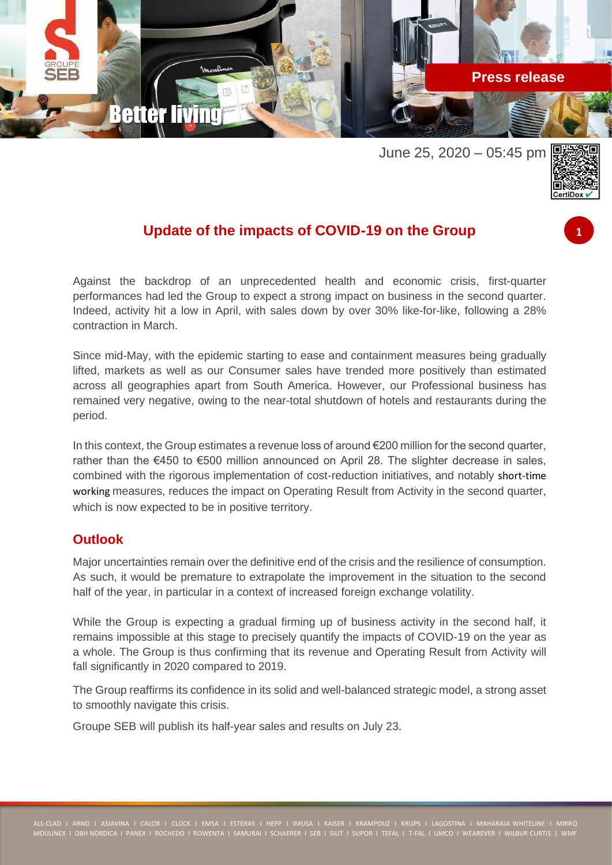

June 25, 2020 – 05:45 pm



**1**

## **Update of the impacts of COVID-19 on the Group**

Against the backdrop of an unprecedented health and economic crisis, first-quarter performances had led the Group to expect a strong impact on business in the second quarter. Indeed, activity hit a low in April, with sales down by over 30% like-for-like, following a 28% contraction in March.

Since mid-May, with the epidemic starting to ease and containment measures being gradually lifted, markets as well as our Consumer sales have trended more positively than estimated across all geographies apart from South America. However, our Professional business has remained very negative, owing to the near-total shutdown of hotels and restaurants during the period.

In this context, the Group estimates a revenue loss of around €200 million for the second quarter, rather than the €450 to €500 million announced on April 28. The slighter decrease in sales, combined with the rigorous implementation of cost-reduction initiatives, and notably short-time working measures, reduces the impact on Operating Result from Activity in the second quarter, which is now expected to be in positive territory.

## **Outlook**

Major uncertainties remain over the definitive end of the crisis and the resilience of consumption. As such, it would be premature to extrapolate the improvement in the situation to the second half of the year, in particular in a context of increased foreign exchange volatility.

While the Group is expecting a gradual firming up of business activity in the second half, it remains impossible at this stage to precisely quantify the impacts of COVID-19 on the year as a whole. The Group is thus confirming that its revenue and Operating Result from Activity will fall significantly in 2020 compared to 2019.

The Group reaffirms its confidence in its solid and well-balanced strategic model, a strong asset to smoothly navigate this crisis.

Groupe SEB will publish its half-year sales and results on July 23.